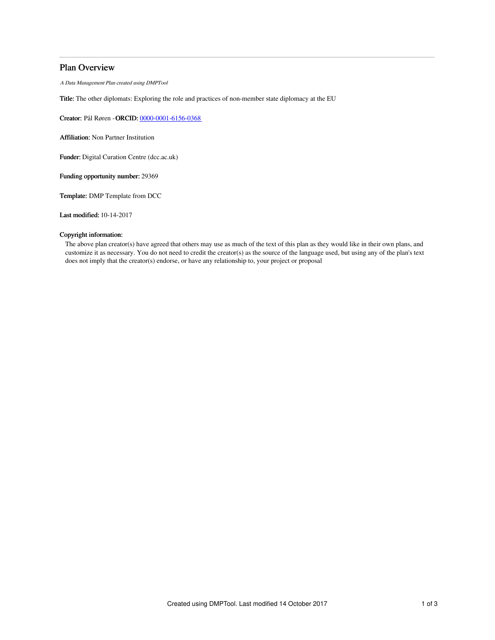# Plan Overview

A Data Management Plan created using DMPTool

Title: The other diplomats: Exploring the role and practices of non-member state diplomacy at the EU

Creator: Pål Røren -ORCID: [0000-0001-6156-0368](https://orcid.org/0000-0001-6156-0368)

Affiliation: Non Partner Institution

Funder: Digital Curation Centre (dcc.ac.uk)

Funding opportunity number: 29369

Template: DMP Template from DCC

Last modified: 10-14-2017

# Copyright information:

The above plan creator(s) have agreed that others may use as much of the text of this plan as they would like in their own plans, and customize it as necessary. You do not need to credit the creator(s) as the source of the language used, but using any of the plan's text does not imply that the creator(s) endorse, or have any relationship to, your project or proposal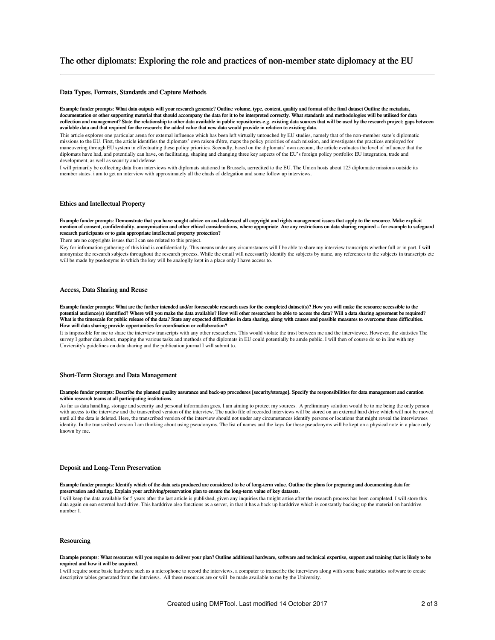# Data Types, Formats, Standards and Capture Methods

Example funder prompts: What data outputs will your research generate? Outline volume, type, content, quality and format of the final dataset Outline the metadata, documentation or other supporting material that should accompany the data for it to be interpreted correctly. What standards and methodologies will be utilised for data collection and management? State the relationship to other data available in public repositories e.g. existing data sources that will be used by the research project; gaps between available data and that required for the research; the added value that new data would provide in relation to existing data.

This article explores one particular arena for external influence which has been left virtually untouched by EU studies, namely that of the non-member state's diplomatic missions to the EU. First, the article identifies the diplomats' own raison d'être, maps the policy priorities of each mission, and investigates the practices employed for maneuvering through EU system in effectuating these policy priorities. Secondly, based on the diplomats' own account, the article evaluates the level of influence that the diplomats have had, and potentially can have, on facilitating, shaping and changing three key aspects of the EU's foreign policy portfolio: EU integration, trade and development, as well as security and defense

I will primarily be collecting data from interviews with diplomats stationed in Brussels, acrredited to the EU. The Union hosts about 125 diplomatic missions outside its member states. i am to get an interview with approximately all the ehads of delegation and some follow up interviews.

# Ethics and Intellectual Property

Example funder prompts: Demonstrate that you have sought advice on and addressed all copyright and rights management issues that apply to the resource. Make explicit mention of consent, confidentiality, anonymisation and other ethical considerations, where appropriate. Are any restrictions on data sharing required – for example to safeguard research participants or to gain appropriate intellectual property protection?

There are no copyrights issues that I can see related to this project.

Key for infromation gathering of this kind is confidentiatily. This means under any circumstances will I be able to share my interview transcripts whether full or in part. I will anonymize the research subjects throughout the research process. While the email will necessarily identify the subjects by name, any references to the subjects in transcripts etc will be made by psedonyms in which the key will be analoglly kept in a place only I have access to.

# Access, Data Sharing and Reuse

Example funder prompts: What are the further intended and/or foreseeable research uses for the completed dataset(s)? How you will make the resource accessible to the potential audience(s) identified? Where will you make the data available? How will other researchers be able to access the data? Will a data sharing agreement be required?<br>What is the timescale for public release of the da How will data sharing provide opportunities for coordination or collaboration?

It is impossible for me to share the interview transcripts with any other researchers. This would violate the trust between me and the interviewee. However, the statistics The survey I gather data about, mapping the various tasks and methods of the diplomats in EU could potentially be amde public. I will then of course do so in line with my Unviersity's guidelines on data sharing and the publication journal I will submit to.

### Short-Term Storage and Data Management

#### Example funder prompts: Describe the planned quality assurance and back-up procedures [security/storage]. Specify the responsibilities for data management and curation within research teams at all participating institutions.

As far as data handling, storage and security and personal information goes, I am aiming to protect my sources. A preliminary solution would be to me being the only person with access to the interview and the transcribed version of the interview. The audio file of recorded interviews will be stored on an external hard drive which will not be moved until all the data is deleted. Here, the transcribed version of the interview should not under any circumstances identify persons or locations that might reveal the interviewees identity. In the transcribed version I am thinking about using pseudonyms. The list of names and the keys for these pseudonyms will be kept on a physical note in a place only known by me.

# Deposit and Long-Term Preservation

#### Example funder prompts: Identify which of the data sets produced are considered to be of long-term value. Outline the plans for preparing and documenting data for preservation and sharing. Explain your archiving/preservation plan to ensure the long-term value of key datasets.

I will keep the data available for 5 years after the last article is published, given any inquiries tha tmight artise after the research process has been completed. I will store this data again on ean external hard drive. This harddrive also functions as a server, in that it has a back up harddrive which is constantly backing up the material on harddrive number 1.

# Resourcing

#### Example prompts: What resources will you require to deliver your plan? Outline additional hardware, software and technical expertise, support and training that is likely to be required and how it will be acquired.

I will require some basic hardware such as a microphone to record the interviews, a computer to transcribe the itnerviews along with some basic statistics software to create descriptive tables generated from the intrviews. All these resources are or will be made available to me by the University.